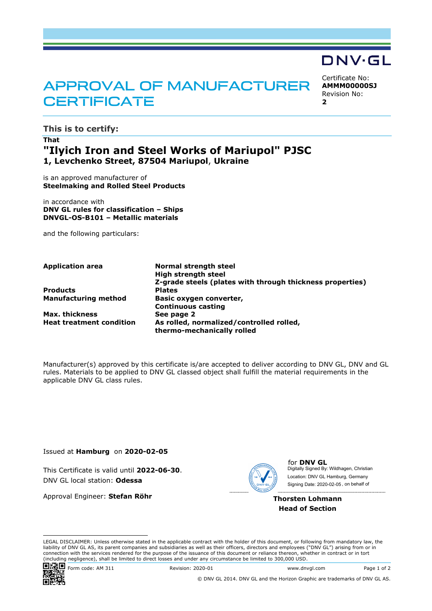# APPROVAL OF MANUFACTURER **CERTIFICATE**

Certificate No: **AMMM00000SJ** Revision No: **2** 

DNV·GL

**This is to certify:** 

## **That "Ilyich Iron and Steel Works of Mariupol" PJSC 1, Levchenko Street, 87504 Mariupol**, **Ukraine**

is an approved manufacturer of **Steelmaking and Rolled Steel Products**

in accordance with **DNV GL rules for classification – Ships DNVGL-OS-B101 – Metallic materials**

and the following particulars:

**Products Plates** 

**Max. thickness** 

**Application area Normal strength steel High strength steel Z-grade steels (plates with through thickness properties) Manufacturing method Basic oxygen converter, Continuous casting Heat treatment condition As rolled, normalized/controlled rolled, thermo-mechanically rolled** 

Manufacturer(s) approved by this certificate is/are accepted to deliver according to DNV GL, DNV and GL rules. Materials to be applied to DNV GL classed object shall fulfill the material requirements in the applicable DNV GL class rules.

Issued at **Hamburg** on **2020-02-05**

This Certificate is valid until **2022-06-30**. DNV GL local station: **Odessa**

Approval Engineer: **Stefan Röhr**



for **DNV GL** Digitally Signed By: Wildhagen, Christian Signing Date: 2020-02-05 , on behalf ofLocation: DNV GL Hamburg, Germany

**Thorsten Lohmann Head of Section**

LEGAL DISCLAIMER: Unless otherwise stated in the applicable contract with the holder of this document, or following from mandatory law, the liability of DNV GL AS, its parent companies and subsidiaries as well as their officers, directors and employees ("DNV GL") arising from or in connection with the services rendered for the purpose of the issuance of this document or reliance thereon, whether in contract or in tort (including negligence), shall be limited to direct losses and under any circumstance be limited to 300,000 USD.



Form code: AM 311 Revision: 2020-01 www.dnvgl.com Page 1 of 2

© DNV GL 2014. DNV GL and the Horizon Graphic are trademarks of DNV GL AS.